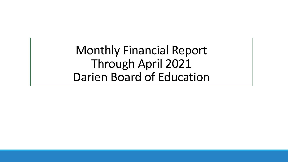Monthly Financial Report Through April 2021 Darien Board of Education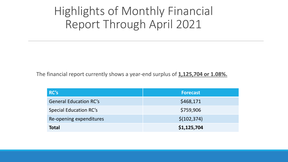#### Highlights of Monthly Financial Report Through April 2021

The financial report currently shows a year-end surplus of **1,125,704 or 1.08%.**

| RC's                          | <b>Forecast</b> |
|-------------------------------|-----------------|
| <b>General Education RC's</b> | \$468,171       |
| <b>Special Education RC's</b> | \$759,906       |
| Re-opening expenditures       | \$(102, 374)    |
| <b>Total</b>                  | \$1,125,704     |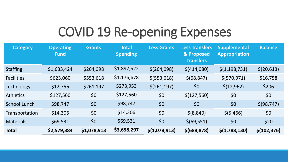## COVID 19 Re-opening Expenses

| <b>Category</b>     | <b>Operating</b><br><b>Fund</b> | <b>Grants</b> | <b>Total</b><br><b>Spending</b> | <b>Less Grants</b> | <b>Less Transfers</b><br>& Proposed<br><b>Transfers</b> | <b>Supplemental</b><br><b>Appropriation</b> | <b>Balance</b> |
|---------------------|---------------------------------|---------------|---------------------------------|--------------------|---------------------------------------------------------|---------------------------------------------|----------------|
| <b>Staffing</b>     | \$1,633,424                     | \$264,098     | \$1,897,522                     | \$(264,098)        | \$(414,080)                                             | $\frac{\xi(1,198,731)}{}$                   | \$(20,613)     |
| <b>Facilities</b>   | \$623,060                       | \$553,618     | \$1,176,678                     | \$ (553, 618)      | \$ (68, 847)                                            | \$(570, 971)                                | \$16,758       |
| <b>Technology</b>   | \$12,756                        | \$261,197     | \$273,953                       | \$(261, 197)       | \$0                                                     | \$(12,962)                                  | \$206          |
| <b>Athletics</b>    | \$127,560                       | \$0           | \$127,560                       | \$0                | \$(127,560)                                             | \$0                                         | \$0            |
| <b>School Lunch</b> | \$98,747                        | \$0           | \$98,747                        | \$0                | \$0                                                     | \$0                                         | \$ (98, 747)   |
| Transportation      | \$14,306                        | \$0           | \$14,306                        | \$0                | \$ (8, 840)                                             | \$ (5,466)                                  | \$0            |
| <b>Materials</b>    | \$69,531                        | \$0           | \$69,531                        | \$0                | \$ (69, 551)                                            | \$0                                         | \$20           |
| <b>Total</b>        | \$2,579,384                     | \$1,078,913   | \$3,658,297                     | \$(1,078,913)      | \$ (688, 878)                                           | \$(1,788,130)                               | \$(102, 376)   |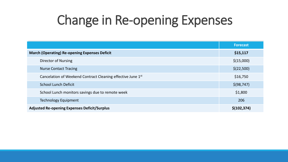# Change in Re-opening Expenses

|                                                             | <b>Forecast</b> |
|-------------------------------------------------------------|-----------------|
| <b>March (Operating) Re-opening Expenses Deficit</b>        | \$15,117        |
| <b>Director of Nursing</b>                                  | \$(15,000)      |
| <b>Nurse Contact Tracing</b>                                | \$(22,500)      |
| Cancelation of Weekend Contract Cleaning effective June 1st | \$16,750        |
| <b>School Lunch Deficit</b>                                 | \$ (98, 747)    |
| School Lunch monitors savings due to remote week            | \$1,800         |
| <b>Technology Equipment</b>                                 | 206             |
| <b>Adjusted Re-opening Expenses Deficit/Surplus</b>         | \$(102, 374)    |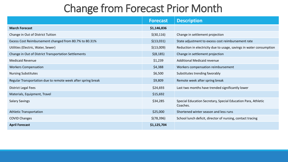#### Change from Forecast Prior Month

|                                                              | <b>Forecast</b> | <b>Description</b>                                                        |
|--------------------------------------------------------------|-----------------|---------------------------------------------------------------------------|
| <b>March Forecast</b>                                        | \$1,146,836     |                                                                           |
| Change in Out of District Tuition                            | \$(30, 116)     | Change in settlement projection                                           |
| Excess Cost Reimbursement changed from 80.7% to 80.31%       | \$(13,031)      | State adjustment to excess cost reimbursement rate                        |
| Utilities (Electric, Water, Sewer)                           | \$(13,009)      | Reduction in electricity due to usage, savings in water consumption       |
| Change in Out of District Transportation Settlements         | \$(8, 185)      | Change in settlement projection                                           |
| <b>Medicaid Revenue</b>                                      | \$1,239         | <b>Additional Medicaid revenue</b>                                        |
| <b>Workers Compensation</b>                                  | \$4,388         | Workers compensation reimbursement                                        |
| <b>Nursing Substitutes</b>                                   | \$6,500         | Substitutes trending favorably                                            |
| Regular Transportation due to remote week after spring break | \$9,809         | Remote week after spring break                                            |
| <b>District Legal Fees</b>                                   | \$24,693        | Last two months have trended significantly lower                          |
| Materials, Equipment, Travel                                 | \$15,692        |                                                                           |
| <b>Salary Savings</b>                                        | \$34,285        | Special Education Secretary, Special Education Para, Athletic<br>Coaches. |
| <b>Athletic Transportation</b>                               | \$25,000        | Shortened winter season and less runs                                     |
| <b>COVID Changes</b>                                         | \$(78, 396)     | School lunch deficit, director of nursing, contact tracing                |
| <b>April Forecast</b>                                        | \$1,125,704     |                                                                           |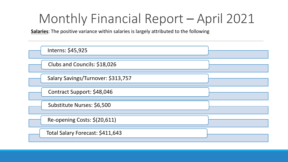**Salaries**: The positive variance within salaries is largely attributed to the following

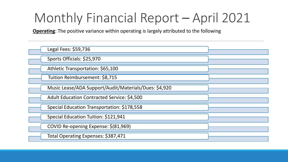**Operating**: The positive variance within operating is largely attributed to the following

| Legal Fees: \$59,736                                  |  |
|-------------------------------------------------------|--|
| Sports Officials: \$25,970                            |  |
| Athletic Transportation: \$65,100                     |  |
| Tuition Reimbursement: \$8,715                        |  |
| Music Lease/ADA Support/Audit/Materials/Dues: \$4,920 |  |
| <b>Adult Education Contracted Service: \$4,500</b>    |  |
| Special Education Transportation: \$178,558           |  |
| Special Education Tuition: \$121,941                  |  |
| COVID Re-opening Expense: \$(81,969)                  |  |
| Total Operating Expenses: \$387,471                   |  |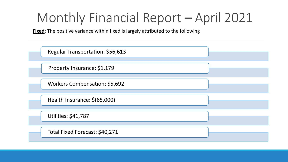**Fixed**: The positive variance within fixed is largely attributed to the following

| Regular Transportation: \$56,613 |  |
|----------------------------------|--|
| Property Insurance: \$1,179      |  |
| Workers Compensation: \$5,692    |  |
| Health Insurance: \$(65,000)     |  |
| <b>Utilities: \$41,787</b>       |  |
| Total Fixed Forecast: \$40,271   |  |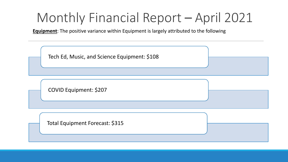**Equipment**: The positive variance within Equipment is largely attributed to the following

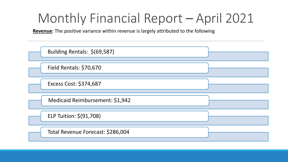**Revenue**: The positive variance within revenue is largely attributed to the following

| Building Rentals: \$(69,587)      |  |
|-----------------------------------|--|
| Field Rentals: \$70,670           |  |
| Excess Cost: \$374,687            |  |
| Medicaid Reimbursement: \$1,942   |  |
| ELP Tuition: \$(91,708)           |  |
| Total Revenue Forecast: \$286,004 |  |